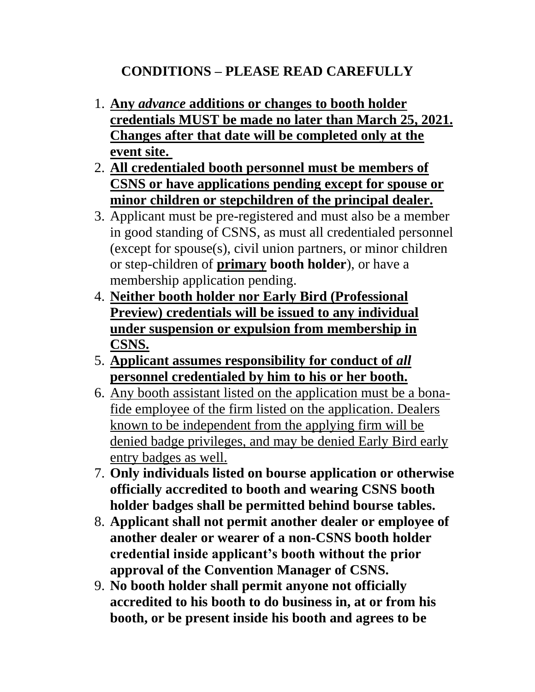## **CONDITIONS – PLEASE READ CAREFULLY**

- 1. **Any** *advance* **additions or changes to booth holder credentials MUST be made no later than March 25, 2021. Changes after that date will be completed only at the event site.**
- 2. **All credentialed booth personnel must be members of CSNS or have applications pending except for spouse or minor children or stepchildren of the principal dealer.**
- 3. Applicant must be pre-registered and must also be a member in good standing of CSNS, as must all credentialed personnel (except for spouse(s), civil union partners, or minor children or step-children of **primary booth holder**), or have a membership application pending.
- 4. **Neither booth holder nor Early Bird (Professional Preview) credentials will be issued to any individual under suspension or expulsion from membership in CSNS.**
- 5. **Applicant assumes responsibility for conduct of** *all* **personnel credentialed by him to his or her booth.**
- 6. Any booth assistant listed on the application must be a bonafide employee of the firm listed on the application. Dealers known to be independent from the applying firm will be denied badge privileges, and may be denied Early Bird early entry badges as well.
- 7. **Only individuals listed on bourse application or otherwise officially accredited to booth and wearing CSNS booth holder badges shall be permitted behind bourse tables.**
- 8. **Applicant shall not permit another dealer or employee of another dealer or wearer of a non-CSNS booth holder credential inside applicant's booth without the prior approval of the Convention Manager of CSNS.**
- 9. **No booth holder shall permit anyone not officially accredited to his booth to do business in, at or from his booth, or be present inside his booth and agrees to be**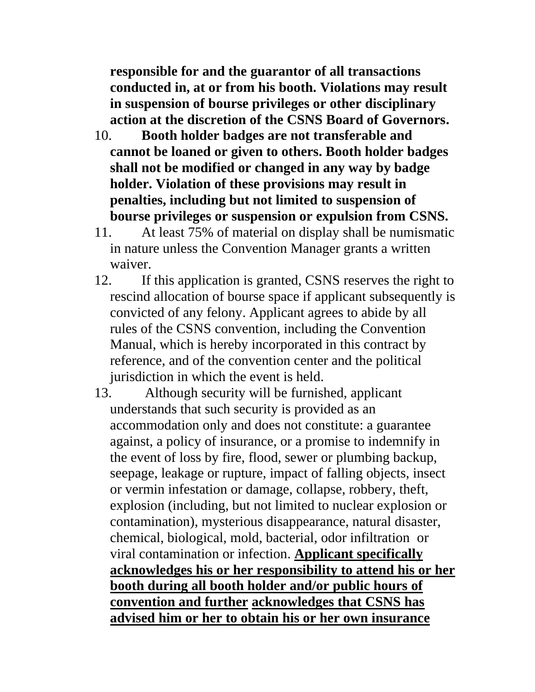**responsible for and the guarantor of all transactions conducted in, at or from his booth. Violations may result in suspension of bourse privileges or other disciplinary action at the discretion of the CSNS Board of Governors.**

- 10. **Booth holder badges are not transferable and cannot be loaned or given to others. Booth holder badges shall not be modified or changed in any way by badge holder. Violation of these provisions may result in penalties, including but not limited to suspension of bourse privileges or suspension or expulsion from CSNS.**
- 11. At least 75% of material on display shall be numismatic in nature unless the Convention Manager grants a written waiver.
- 12. If this application is granted, CSNS reserves the right to rescind allocation of bourse space if applicant subsequently is convicted of any felony. Applicant agrees to abide by all rules of the CSNS convention, including the Convention Manual, which is hereby incorporated in this contract by reference, and of the convention center and the political jurisdiction in which the event is held.
- 13. Although security will be furnished, applicant understands that such security is provided as an accommodation only and does not constitute: a guarantee against, a policy of insurance, or a promise to indemnify in the event of loss by fire, flood, sewer or plumbing backup, seepage, leakage or rupture, impact of falling objects, insect or vermin infestation or damage, collapse, robbery, theft, explosion (including, but not limited to nuclear explosion or contamination), mysterious disappearance, natural disaster, chemical, biological, mold, bacterial, odor infiltration or viral contamination or infection. **Applicant specifically acknowledges his or her responsibility to attend his or her booth during all booth holder and/or public hours of convention and further acknowledges that CSNS has advised him or her to obtain his or her own insurance**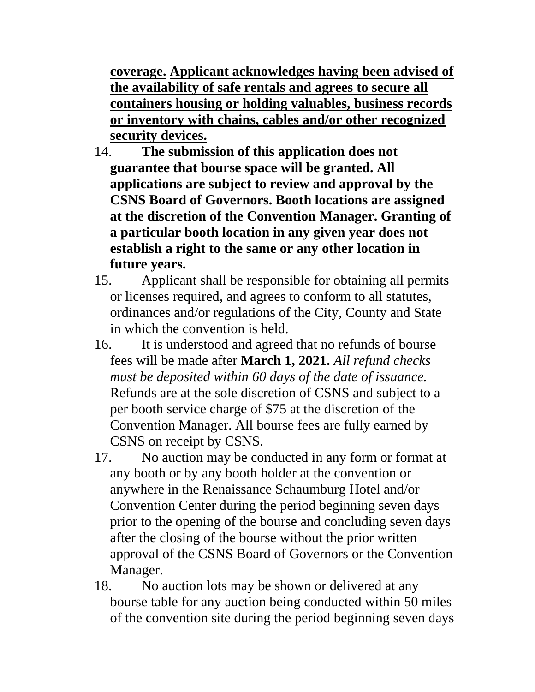**coverage. Applicant acknowledges having been advised of the availability of safe rentals and agrees to secure all containers housing or holding valuables, business records or inventory with chains, cables and/or other recognized security devices.**

- 14. **The submission of this application does not guarantee that bourse space will be granted. All applications are subject to review and approval by the CSNS Board of Governors. Booth locations are assigned at the discretion of the Convention Manager. Granting of a particular booth location in any given year does not establish a right to the same or any other location in future years.**
- 15. Applicant shall be responsible for obtaining all permits or licenses required, and agrees to conform to all statutes, ordinances and/or regulations of the City, County and State in which the convention is held.
- 16. It is understood and agreed that no refunds of bourse fees will be made after **March 1, 2021.** *All refund checks must be deposited within 60 days of the date of issuance.* Refunds are at the sole discretion of CSNS and subject to a per booth service charge of \$75 at the discretion of the Convention Manager. All bourse fees are fully earned by CSNS on receipt by CSNS.
- 17. No auction may be conducted in any form or format at any booth or by any booth holder at the convention or anywhere in the Renaissance Schaumburg Hotel and/or Convention Center during the period beginning seven days prior to the opening of the bourse and concluding seven days after the closing of the bourse without the prior written approval of the CSNS Board of Governors or the Convention Manager.
- 18. No auction lots may be shown or delivered at any bourse table for any auction being conducted within 50 miles of the convention site during the period beginning seven days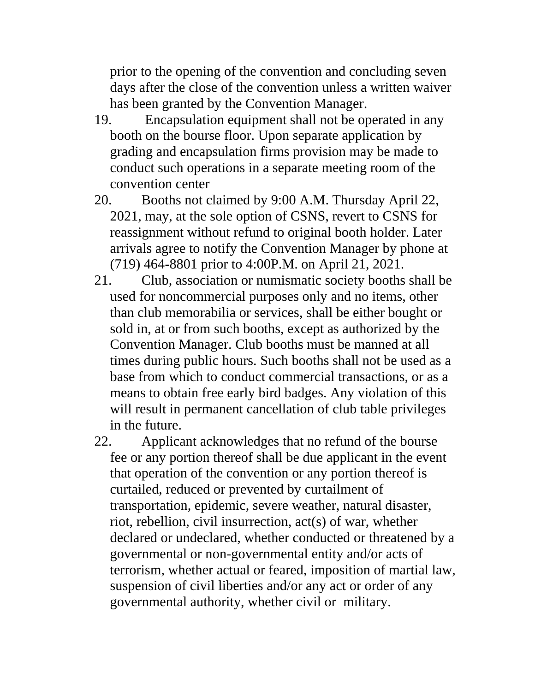prior to the opening of the convention and concluding seven days after the close of the convention unless a written waiver has been granted by the Convention Manager.

- 19. Encapsulation equipment shall not be operated in any booth on the bourse floor. Upon separate application by grading and encapsulation firms provision may be made to conduct such operations in a separate meeting room of the convention center
- 20. Booths not claimed by 9:00 A.M. Thursday April 22, 2021, may, at the sole option of CSNS, revert to CSNS for reassignment without refund to original booth holder. Later arrivals agree to notify the Convention Manager by phone at (719) 464-8801 prior to 4:00P.M. on April 21, 2021.
- 21. Club, association or numismatic society booths shall be used for noncommercial purposes only and no items, other than club memorabilia or services, shall be either bought or sold in, at or from such booths, except as authorized by the Convention Manager. Club booths must be manned at all times during public hours. Such booths shall not be used as a base from which to conduct commercial transactions, or as a means to obtain free early bird badges. Any violation of this will result in permanent cancellation of club table privileges in the future.

22. Applicant acknowledges that no refund of the bourse fee or any portion thereof shall be due applicant in the event that operation of the convention or any portion thereof is curtailed, reduced or prevented by curtailment of transportation, epidemic, severe weather, natural disaster, riot, rebellion, civil insurrection, act(s) of war, whether declared or undeclared, whether conducted or threatened by a governmental or non-governmental entity and/or acts of terrorism, whether actual or feared, imposition of martial law, suspension of civil liberties and/or any act or order of any governmental authority, whether civil or military.